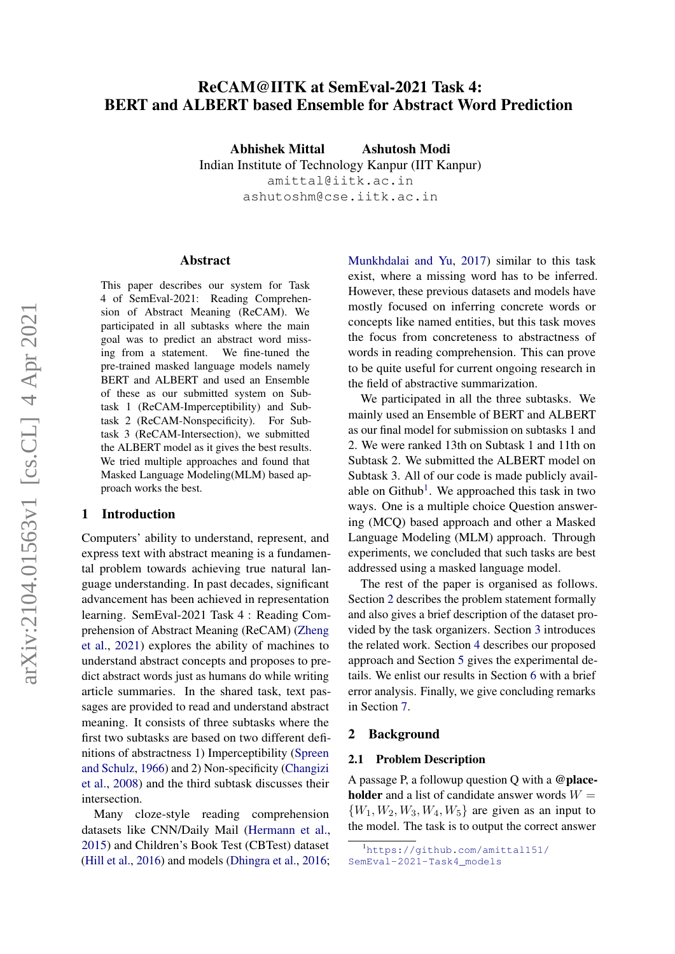# ReCAM@IITK at SemEval-2021 Task 4: BERT and ALBERT based Ensemble for Abstract Word Prediction

Abhishek Mittal Ashutosh Modi Indian Institute of Technology Kanpur (IIT Kanpur) amittal@iitk.ac.in ashutoshm@cse.iitk.ac.in

## Abstract

This paper describes our system for Task 4 of SemEval-2021: Reading Comprehension of Abstract Meaning (ReCAM). We participated in all subtasks where the main goal was to predict an abstract word missing from a statement. We fine-tuned the pre-trained masked language models namely BERT and ALBERT and used an Ensemble of these as our submitted system on Subtask 1 (ReCAM-Imperceptibility) and Subtask 2 (ReCAM-Nonspecificity). For Subtask 3 (ReCAM-Intersection), we submitted the ALBERT model as it gives the best results. We tried multiple approaches and found that Masked Language Modeling(MLM) based approach works the best.

## 1 Introduction

Computers' ability to understand, represent, and express text with abstract meaning is a fundamental problem towards achieving true natural language understanding. In past decades, significant advancement has been achieved in representation learning. SemEval-2021 Task 4 : Reading Comprehension of Abstract Meaning (ReCAM) [\(Zheng](#page-7-0) [et al.,](#page-7-0) [2021\)](#page-7-0) explores the ability of machines to understand abstract concepts and proposes to predict abstract words just as humans do while writing article summaries. In the shared task, text passages are provided to read and understand abstract meaning. It consists of three subtasks where the first two subtasks are based on two different definitions of abstractness 1) Imperceptibility [\(Spreen](#page-7-1) [and Schulz,](#page-7-1) [1966\)](#page-7-1) and 2) Non-specificity [\(Changizi](#page-6-0) [et al.,](#page-6-0) [2008\)](#page-6-0) and the third subtask discusses their intersection.

Many cloze-style reading comprehension datasets like CNN/Daily Mail [\(Hermann et al.,](#page-6-1) [2015\)](#page-6-1) and Children's Book Test (CBTest) dataset [\(Hill et al.,](#page-6-2) [2016\)](#page-6-2) and models [\(Dhingra et al.,](#page-6-3) [2016;](#page-6-3)

[Munkhdalai and Yu,](#page-7-2) [2017\)](#page-7-2) similar to this task exist, where a missing word has to be inferred. However, these previous datasets and models have mostly focused on inferring concrete words or concepts like named entities, but this task moves the focus from concreteness to abstractness of words in reading comprehension. This can prove to be quite useful for current ongoing research in the field of abstractive summarization.

We participated in all the three subtasks. We mainly used an Ensemble of BERT and ALBERT as our final model for submission on subtasks 1 and 2. We were ranked 13th on Subtask 1 and 11th on Subtask 2. We submitted the ALBERT model on Subtask 3. All of our code is made publicly avail-able on Github<sup>[1](#page-0-0)</sup>. We approached this task in two ways. One is a multiple choice Question answering (MCQ) based approach and other a Masked Language Modeling (MLM) approach. Through experiments, we concluded that such tasks are best addressed using a masked language model.

The rest of the paper is organised as follows. Section [2](#page-0-1) describes the problem statement formally and also gives a brief description of the dataset provided by the task organizers. Section [3](#page-1-0) introduces the related work. Section [4](#page-2-0) describes our proposed approach and Section [5](#page-3-0) gives the experimental details. We enlist our results in Section [6](#page-4-0) with a brief error analysis. Finally, we give concluding remarks in Section [7.](#page-6-4)

## <span id="page-0-1"></span>2 Background

#### 2.1 Problem Description

A passage P, a followup question Q with a @place**holder** and a list of candidate answer words  $W =$  ${W_1, W_2, W_3, W_4, W_5}$  are given as an input to the model. The task is to output the correct answer

<span id="page-0-0"></span><sup>1</sup>[https://github.com/amittal151/](https://github.com/amittal151/SemEval-2021-Task4_models) [SemEval-2021-Task4\\_models](https://github.com/amittal151/SemEval-2021-Task4_models)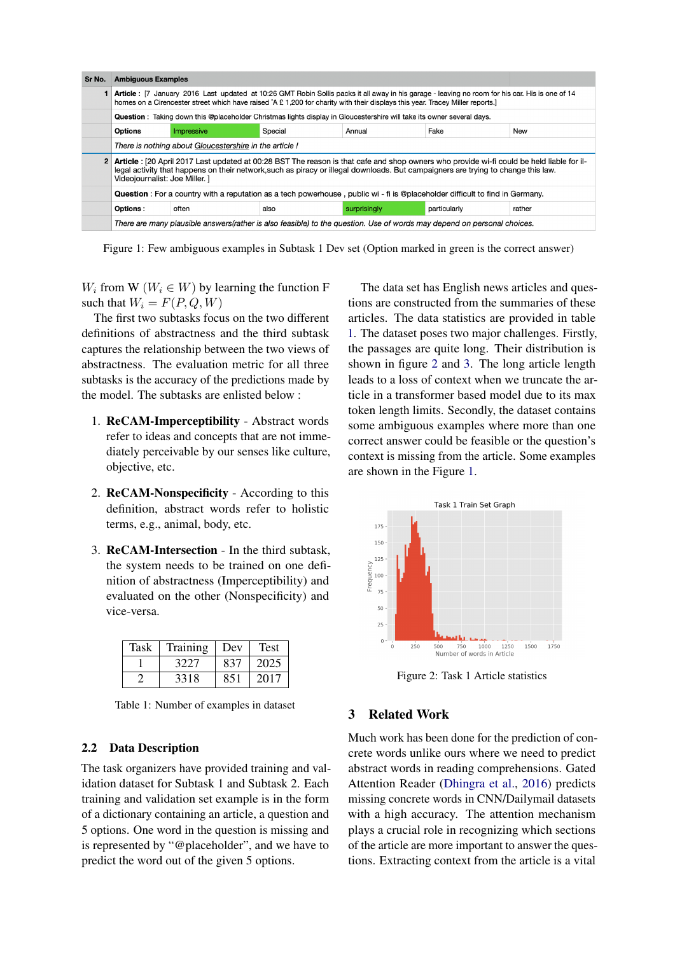<span id="page-1-3"></span>

| Sr No.                                                    | <b>Ambiguous Examples</b>                                                                                                                                                                                                                                                                                        |       |      |              |              |        |
|-----------------------------------------------------------|------------------------------------------------------------------------------------------------------------------------------------------------------------------------------------------------------------------------------------------------------------------------------------------------------------------|-------|------|--------------|--------------|--------|
|                                                           | Article: [7 January 2016 Last updated at 10:26 GMT Robin Sollis packs it all away in his garage - leaving no room for his car. His is one of 14<br>homes on a Cirencester street which have raised ^A £ 1,200 for charity with their displays this year. Tracey Miller reports.]                                 |       |      |              |              |        |
|                                                           | Question: Taking down this @placeholder Christmas lights display in Gloucestershire will take its owner several days.                                                                                                                                                                                            |       |      |              |              |        |
| <b>Options</b><br>Fake<br>Special<br>Impressive<br>Annual |                                                                                                                                                                                                                                                                                                                  |       |      |              |              | New    |
|                                                           | There is nothing about Gloucestershire in the article!                                                                                                                                                                                                                                                           |       |      |              |              |        |
| $\mathbf{2}$                                              | Article : [20 April 2017 Last updated at 00:28 BST The reason is that cafe and shop owners who provide wi-fi could be held liable for il-<br>legal activity that happens on their network, such as piracy or illegal downloads. But campaigners are trying to change this law.<br>Videojournalist: Joe Miller. 1 |       |      |              |              |        |
|                                                           | Question : For a country with a reputation as a tech powerhouse, public wi - fi is @placeholder difficult to find in Germany.                                                                                                                                                                                    |       |      |              |              |        |
|                                                           | Options:                                                                                                                                                                                                                                                                                                         | often | also | surprisingly | particularly | rather |
|                                                           | There are many plausible answers(rather is also feasible) to the question. Use of words may depend on personal choices.                                                                                                                                                                                          |       |      |              |              |        |

Figure 1: Few ambiguous examples in Subtask 1 Dev set (Option marked in green is the correct answer)

 $W_i$  from W ( $W_i \in W$ ) by learning the function F such that  $W_i = F(P, Q, W)$ 

The first two subtasks focus on the two different definitions of abstractness and the third subtask captures the relationship between the two views of abstractness. The evaluation metric for all three subtasks is the accuracy of the predictions made by the model. The subtasks are enlisted below :

- 1. ReCAM-Imperceptibility Abstract words refer to ideas and concepts that are not immediately perceivable by our senses like culture, objective, etc.
- 2. ReCAM-Nonspecificity According to this definition, abstract words refer to holistic terms, e.g., animal, body, etc.
- 3. ReCAM-Intersection In the third subtask, the system needs to be trained on one definition of abstractness (Imperceptibility) and evaluated on the other (Nonspecificity) and vice-versa.

<span id="page-1-1"></span>

| Task | Training | Dev | <b>Test</b> |
|------|----------|-----|-------------|
|      | 3227     | 837 | 2025        |
|      | 3318     | 851 | 2017        |

Table 1: Number of examples in dataset

## 2.2 Data Description

The task organizers have provided training and validation dataset for Subtask 1 and Subtask 2. Each training and validation set example is in the form of a dictionary containing an article, a question and 5 options. One word in the question is missing and is represented by "@placeholder", and we have to predict the word out of the given 5 options.

The data set has English news articles and questions are constructed from the summaries of these articles. The data statistics are provided in table [1.](#page-1-1) The dataset poses two major challenges. Firstly, the passages are quite long. Their distribution is shown in figure [2](#page-1-2) and [3.](#page-2-1) The long article length leads to a loss of context when we truncate the article in a transformer based model due to its max token length limits. Secondly, the dataset contains some ambiguous examples where more than one correct answer could be feasible or the question's context is missing from the article. Some examples are shown in the Figure [1.](#page-1-3)

<span id="page-1-2"></span>

Figure 2: Task 1 Article statistics

## <span id="page-1-0"></span>3 Related Work

Much work has been done for the prediction of concrete words unlike ours where we need to predict abstract words in reading comprehensions. Gated Attention Reader [\(Dhingra et al.,](#page-6-3) [2016\)](#page-6-3) predicts missing concrete words in CNN/Dailymail datasets with a high accuracy. The attention mechanism plays a crucial role in recognizing which sections of the article are more important to answer the questions. Extracting context from the article is a vital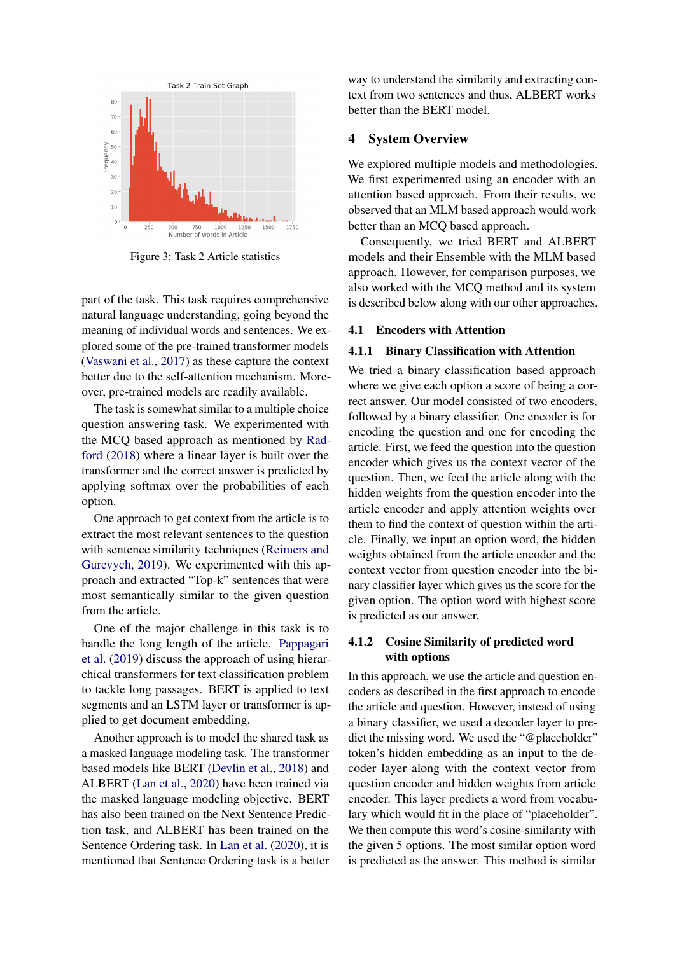<span id="page-2-1"></span>

Figure 3: Task 2 Article statistics

part of the task. This task requires comprehensive natural language understanding, going beyond the meaning of individual words and sentences. We explored some of the pre-trained transformer models [\(Vaswani et al.,](#page-7-3) [2017\)](#page-7-3) as these capture the context better due to the self-attention mechanism. Moreover, pre-trained models are readily available.

The task is somewhat similar to a multiple choice question answering task. We experimented with the MCQ based approach as mentioned by [Rad](#page-7-4)[ford](#page-7-4) [\(2018\)](#page-7-4) where a linear layer is built over the transformer and the correct answer is predicted by applying softmax over the probabilities of each option.

One approach to get context from the article is to extract the most relevant sentences to the question with sentence similarity techniques [\(Reimers and](#page-7-5) [Gurevych,](#page-7-5) [2019\)](#page-7-5). We experimented with this approach and extracted "Top-k" sentences that were most semantically similar to the given question from the article.

One of the major challenge in this task is to handle the long length of the article. [Pappagari](#page-7-6) [et al.](#page-7-6) [\(2019\)](#page-7-6) discuss the approach of using hierarchical transformers for text classification problem to tackle long passages. BERT is applied to text segments and an LSTM layer or transformer is applied to get document embedding.

Another approach is to model the shared task as a masked language modeling task. The transformer based models like BERT [\(Devlin et al.,](#page-6-5) [2018\)](#page-6-5) and ALBERT [\(Lan et al.,](#page-6-6) [2020\)](#page-6-6) have been trained via the masked language modeling objective. BERT has also been trained on the Next Sentence Prediction task, and ALBERT has been trained on the Sentence Ordering task. In [Lan et al.](#page-6-6) [\(2020\)](#page-6-6), it is mentioned that Sentence Ordering task is a better way to understand the similarity and extracting context from two sentences and thus, ALBERT works better than the BERT model.

## <span id="page-2-0"></span>4 System Overview

We explored multiple models and methodologies. We first experimented using an encoder with an attention based approach. From their results, we observed that an MLM based approach would work better than an MCQ based approach.

Consequently, we tried BERT and ALBERT models and their Ensemble with the MLM based approach. However, for comparison purposes, we also worked with the MCQ method and its system is described below along with our other approaches.

### 4.1 Encoders with Attention

#### <span id="page-2-3"></span>4.1.1 Binary Classification with Attention

We tried a binary classification based approach where we give each option a score of being a correct answer. Our model consisted of two encoders, followed by a binary classifier. One encoder is for encoding the question and one for encoding the article. First, we feed the question into the question encoder which gives us the context vector of the question. Then, we feed the article along with the hidden weights from the question encoder into the article encoder and apply attention weights over them to find the context of question within the article. Finally, we input an option word, the hidden weights obtained from the article encoder and the context vector from question encoder into the binary classifier layer which gives us the score for the given option. The option word with highest score is predicted as our answer.

## <span id="page-2-2"></span>4.1.2 Cosine Similarity of predicted word with options

In this approach, we use the article and question encoders as described in the first approach to encode the article and question. However, instead of using a binary classifier, we used a decoder layer to predict the missing word. We used the "@placeholder" token's hidden embedding as an input to the decoder layer along with the context vector from question encoder and hidden weights from article encoder. This layer predicts a word from vocabulary which would fit in the place of "placeholder". We then compute this word's cosine-similarity with the given 5 options. The most similar option word is predicted as the answer. This method is similar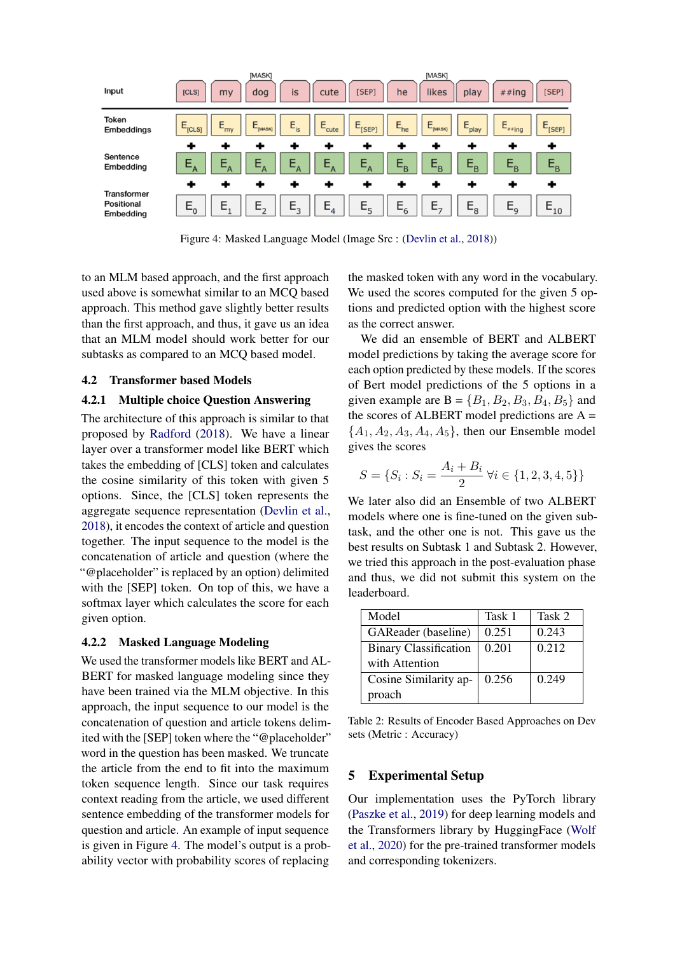<span id="page-3-1"></span>

Figure 4: Masked Language Model (Image Src : [\(Devlin et al.,](#page-6-5) [2018\)](#page-6-5))

to an MLM based approach, and the first approach used above is somewhat similar to an MCQ based approach. This method gave slightly better results than the first approach, and thus, it gave us an idea that an MLM model should work better for our subtasks as compared to an MCQ based model.

## 4.2 Transformer based Models

## 4.2.1 Multiple choice Question Answering

The architecture of this approach is similar to that proposed by [Radford](#page-7-4) [\(2018\)](#page-7-4). We have a linear layer over a transformer model like BERT which takes the embedding of [CLS] token and calculates the cosine similarity of this token with given 5 options. Since, the [CLS] token represents the aggregate sequence representation [\(Devlin et al.,](#page-6-5) [2018\)](#page-6-5), it encodes the context of article and question together. The input sequence to the model is the concatenation of article and question (where the "@placeholder" is replaced by an option) delimited with the [SEP] token. On top of this, we have a softmax layer which calculates the score for each given option.

## 4.2.2 Masked Language Modeling

We used the transformer models like BERT and AL-BERT for masked language modeling since they have been trained via the MLM objective. In this approach, the input sequence to our model is the concatenation of question and article tokens delimited with the [SEP] token where the "@placeholder" word in the question has been masked. We truncate the article from the end to fit into the maximum token sequence length. Since our task requires context reading from the article, we used different sentence embedding of the transformer models for question and article. An example of input sequence is given in Figure [4.](#page-3-1) The model's output is a probability vector with probability scores of replacing

the masked token with any word in the vocabulary. We used the scores computed for the given 5 options and predicted option with the highest score as the correct answer.

We did an ensemble of BERT and ALBERT model predictions by taking the average score for each option predicted by these models. If the scores of Bert model predictions of the 5 options in a given example are  $B = \{B_1, B_2, B_3, B_4, B_5\}$  and the scores of ALBERT model predictions are A =  ${A_1, A_2, A_3, A_4, A_5}$ , then our Ensemble model gives the scores

$$
S = \{S_i : S_i = \frac{A_i + B_i}{2} \,\forall i \in \{1, 2, 3, 4, 5\}\}
$$

We later also did an Ensemble of two ALBERT models where one is fine-tuned on the given subtask, and the other one is not. This gave us the best results on Subtask 1 and Subtask 2. However, we tried this approach in the post-evaluation phase and thus, we did not submit this system on the leaderboard.

<span id="page-3-2"></span>

| Model                        | Task 1 | Task 2 |
|------------------------------|--------|--------|
| GAReader (baseline)          | 0.251  | 0.243  |
| <b>Binary Classification</b> | 0.201  | 0.212  |
| with Attention               |        |        |
| Cosine Similarity ap-        | 0.256  | 0.249  |
| proach                       |        |        |

Table 2: Results of Encoder Based Approaches on Dev sets (Metric : Accuracy)

## <span id="page-3-0"></span>5 Experimental Setup

Our implementation uses the PyTorch library [\(Paszke et al.,](#page-7-7) [2019\)](#page-7-7) for deep learning models and the Transformers library by HuggingFace [\(Wolf](#page-7-8) [et al.,](#page-7-8) [2020\)](#page-7-8) for the pre-trained transformer models and corresponding tokenizers.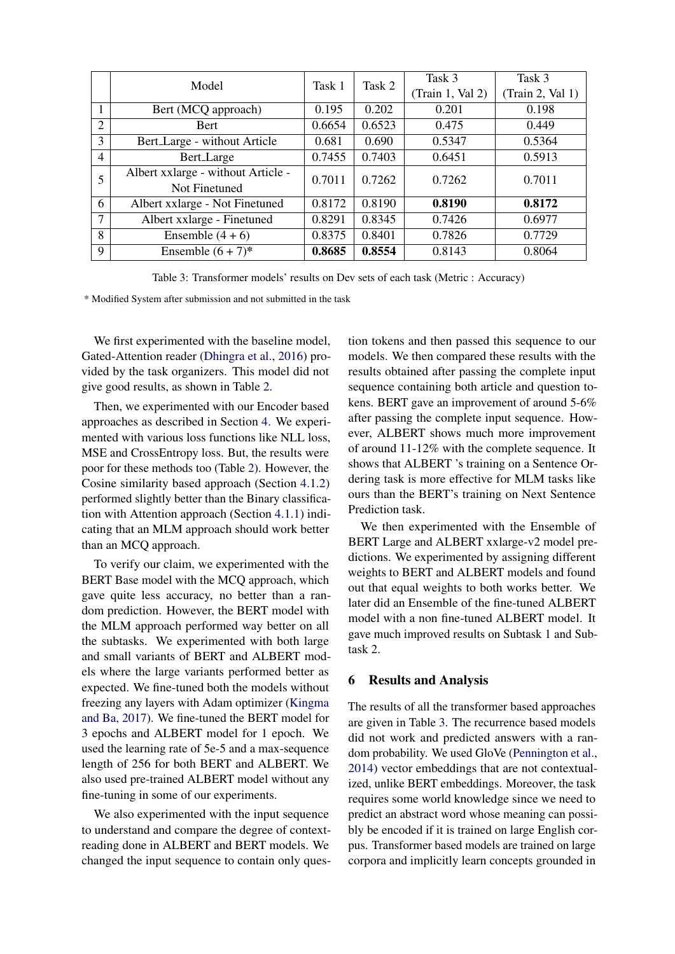<span id="page-4-1"></span>

|                | Model                              | Task 1 | Task 2 | Task 3           | Task 3           |
|----------------|------------------------------------|--------|--------|------------------|------------------|
|                |                                    |        |        | (Train 1, Val 2) | (Train 2, Val 1) |
|                | Bert (MCQ approach)                | 0.195  | 0.202  | 0.201            | 0.198            |
| $\overline{2}$ | <b>Bert</b>                        | 0.6654 | 0.6523 | 0.475            | 0.449            |
| 3              | Bert_Large - without Article       | 0.681  | 0.690  | 0.5347           | 0.5364           |
| $\overline{4}$ | Bert_Large                         | 0.7455 | 0.7403 | 0.6451           | 0.5913           |
|                | Albert xxlarge - without Article - | 0.7011 | 0.7262 | 0.7262           | 0.7011           |
|                | Not Finetuned                      |        |        |                  |                  |
| 6              | Albert xxlarge - Not Finetuned     | 0.8172 | 0.8190 | 0.8190           | 0.8172           |
| 7              | Albert xxlarge - Finetuned         | 0.8291 | 0.8345 | 0.7426           | 0.6977           |
| 8              | Ensemble $(4+6)$                   | 0.8375 | 0.8401 | 0.7826           | 0.7729           |
| 9              | Ensemble $(6 + 7)^*$               | 0.8685 | 0.8554 | 0.8143           | 0.8064           |

Table 3: Transformer models' results on Dev sets of each task (Metric : Accuracy)

\* Modified System after submission and not submitted in the task

We first experimented with the baseline model, Gated-Attention reader [\(Dhingra et al.,](#page-6-3) [2016\)](#page-6-3) provided by the task organizers. This model did not give good results, as shown in Table [2.](#page-3-2)

Then, we experimented with our Encoder based approaches as described in Section [4.](#page-2-0) We experimented with various loss functions like NLL loss, MSE and CrossEntropy loss. But, the results were poor for these methods too (Table [2\)](#page-3-2). However, the Cosine similarity based approach (Section [4.1.2\)](#page-2-2) performed slightly better than the Binary classification with Attention approach (Section [4.1.1\)](#page-2-3) indicating that an MLM approach should work better than an MCQ approach.

To verify our claim, we experimented with the BERT Base model with the MCQ approach, which gave quite less accuracy, no better than a random prediction. However, the BERT model with the MLM approach performed way better on all the subtasks. We experimented with both large and small variants of BERT and ALBERT models where the large variants performed better as expected. We fine-tuned both the models without freezing any layers with Adam optimizer [\(Kingma](#page-6-7) [and Ba,](#page-6-7) [2017\)](#page-6-7). We fine-tuned the BERT model for 3 epochs and ALBERT model for 1 epoch. We used the learning rate of 5e-5 and a max-sequence length of 256 for both BERT and ALBERT. We also used pre-trained ALBERT model without any fine-tuning in some of our experiments.

We also experimented with the input sequence to understand and compare the degree of contextreading done in ALBERT and BERT models. We changed the input sequence to contain only question tokens and then passed this sequence to our models. We then compared these results with the results obtained after passing the complete input sequence containing both article and question tokens. BERT gave an improvement of around 5-6% after passing the complete input sequence. However, ALBERT shows much more improvement of around 11-12% with the complete sequence. It shows that ALBERT 's training on a Sentence Ordering task is more effective for MLM tasks like ours than the BERT's training on Next Sentence Prediction task.

We then experimented with the Ensemble of BERT Large and ALBERT xxlarge-v2 model predictions. We experimented by assigning different weights to BERT and ALBERT models and found out that equal weights to both works better. We later did an Ensemble of the fine-tuned ALBERT model with a non fine-tuned ALBERT model. It gave much improved results on Subtask 1 and Subtask 2.

## <span id="page-4-0"></span>6 Results and Analysis

The results of all the transformer based approaches are given in Table [3.](#page-4-1) The recurrence based models did not work and predicted answers with a random probability. We used GloVe [\(Pennington et al.,](#page-7-9) [2014\)](#page-7-9) vector embeddings that are not contextualized, unlike BERT embeddings. Moreover, the task requires some world knowledge since we need to predict an abstract word whose meaning can possibly be encoded if it is trained on large English corpus. Transformer based models are trained on large corpora and implicitly learn concepts grounded in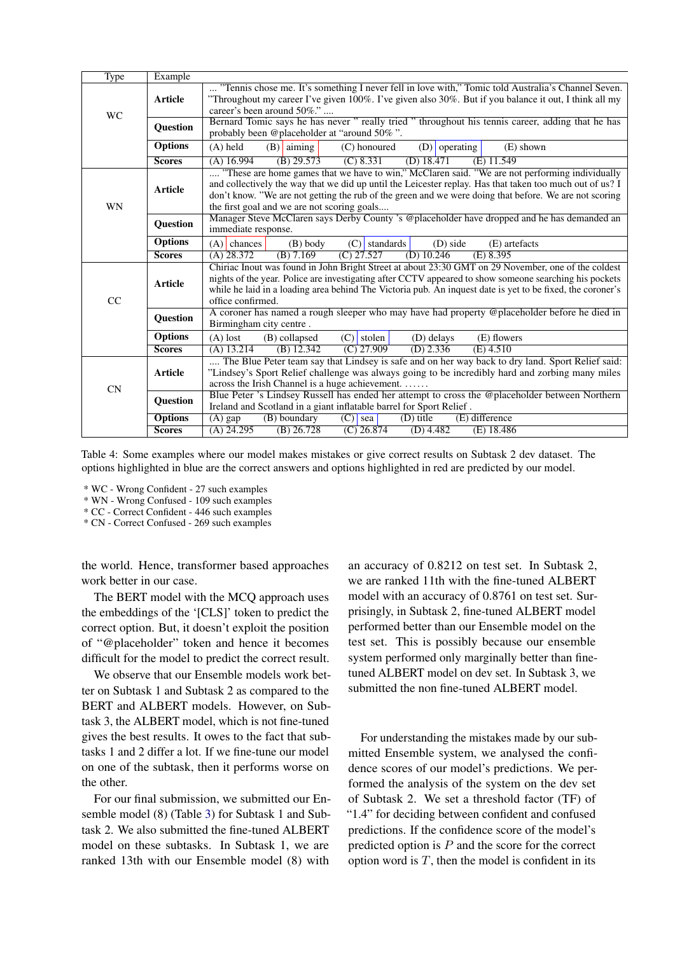<span id="page-5-0"></span>

| <b>Type</b> | Example        |                                                                                                            |
|-------------|----------------|------------------------------------------------------------------------------------------------------------|
|             |                | "Tennis chose me. It's something I never fell in love with," Tomic told Australia's Channel Seven.         |
|             | <b>Article</b> | "Throughout my career I've given 100%. I've given also 30%. But if you balance it out, I think all my      |
| <b>WC</b>   |                | career's been around 50%."                                                                                 |
|             | Question       | Bernard Tomic says he has never "really tried "throughout his tennis career, adding that he has            |
|             |                | probably been @placeholder at "around 50%".                                                                |
|             | <b>Options</b> | $(A)$ held<br>$(B)$ aiming<br>(C) honoured<br>$(E)$ shown<br>$(D)$ operating                               |
|             | <b>Scores</b>  | $(B)$ 29.573<br>(C) 8.331<br>$(D)$ 18.471<br>$(A)$ 16.994<br>$(E)$ 11.549                                  |
|             |                | "These are home games that we have to win," McClaren said. "We are not performing individually             |
|             | <b>Article</b> | and collectively the way that we did up until the Leicester replay. Has that taken too much out of us? I   |
|             |                | don't know. "We are not getting the rub of the green and we were doing that before. We are not scoring     |
| WN          |                | the first goal and we are not scoring goals                                                                |
|             | Question       | Manager Steve McClaren says Derby County 's @placeholder have dropped and he has demanded an               |
|             |                | immediate response.                                                                                        |
|             | <b>Options</b> | $(A)$ chances<br>(B) body<br>$(C)$ standards<br>(E) artefacts<br>(D) side                                  |
|             | <b>Scores</b>  | $(D)$ 10.246<br>$(C)$ 27.527<br>$(A)$ 28.372<br>$(B)$ 7.169<br>$(E)$ 8.395                                 |
|             |                | Chiriac Inout was found in John Bright Street at about 23:30 GMT on 29 November, one of the coldest        |
|             | <b>Article</b> | nights of the year. Police are investigating after CCTV appeared to show someone searching his pockets     |
|             |                | while he laid in a loading area behind The Victoria pub. An inquest date is yet to be fixed, the coroner's |
| CC          |                | office confirmed.                                                                                          |
|             | Question       | A coroner has named a rough sleeper who may have had property @placeholder before he died in               |
|             |                | Birmingham city centre.                                                                                    |
|             | <b>Options</b> | $(C)$ stolen<br>$(A)$ lost<br>(D) delays<br>(E) flowers<br>(B) collapsed                                   |
|             | <b>Scores</b>  | $(D)$ 2.336<br>$(A)$ 13.214<br>$(B)$ 12.342<br>$\overline{(C) 27.909}$<br>$(E)$ 4.510                      |
|             |                | The Blue Peter team say that Lindsey is safe and on her way back to dry land. Sport Relief said:           |
|             | <b>Article</b> | "Lindsey's Sport Relief challenge was always going to be incredibly hard and zorbing many miles            |
| <b>CN</b>   |                | across the Irish Channel is a huge achievement.                                                            |
|             | Question       | Blue Peter 's Lindsey Russell has ended her attempt to cross the @placeholder between Northern             |
|             |                | Ireland and Scotland in a giant inflatable barrel for Sport Relief.<br>(D) title                           |
|             | <b>Options</b> | (B) boundary<br>$\overline{(C)}$ sea<br>$(E)$ difference<br>$\overline{(A)}$ gap                           |
|             | <b>Scores</b>  | $(B)$ 26.728<br>$(C)$ 26.874<br>$(A)$ 24.295<br>$(D)$ 4.482<br>$(E)$ 18.486                                |

Table 4: Some examples where our model makes mistakes or give correct results on Subtask 2 dev dataset. The options highlighted in blue are the correct answers and options highlighted in red are predicted by our model.

\* WC - Wrong Confident - 27 such examples

\* WN - Wrong Confused - 109 such examples

\* CC - Correct Confident - 446 such examples

\* CN - Correct Confused - 269 such examples

the world. Hence, transformer based approaches work better in our case.

The BERT model with the MCQ approach uses the embeddings of the '[CLS]' token to predict the correct option. But, it doesn't exploit the position of "@placeholder" token and hence it becomes difficult for the model to predict the correct result.

We observe that our Ensemble models work better on Subtask 1 and Subtask 2 as compared to the BERT and ALBERT models. However, on Subtask 3, the ALBERT model, which is not fine-tuned gives the best results. It owes to the fact that subtasks 1 and 2 differ a lot. If we fine-tune our model on one of the subtask, then it performs worse on the other.

For our final submission, we submitted our Ensemble model (8) (Table [3\)](#page-4-1) for Subtask 1 and Subtask 2. We also submitted the fine-tuned ALBERT model on these subtasks. In Subtask 1, we are ranked 13th with our Ensemble model (8) with

an accuracy of 0.8212 on test set. In Subtask 2, we are ranked 11th with the fine-tuned ALBERT model with an accuracy of 0.8761 on test set. Surprisingly, in Subtask 2, fine-tuned ALBERT model performed better than our Ensemble model on the test set. This is possibly because our ensemble system performed only marginally better than finetuned ALBERT model on dev set. In Subtask 3, we submitted the non fine-tuned ALBERT model.

For understanding the mistakes made by our submitted Ensemble system, we analysed the confidence scores of our model's predictions. We performed the analysis of the system on the dev set of Subtask 2. We set a threshold factor (TF) of "1.4" for deciding between confident and confused predictions. If the confidence score of the model's predicted option is  $P$  and the score for the correct option word is  $T$ , then the model is confident in its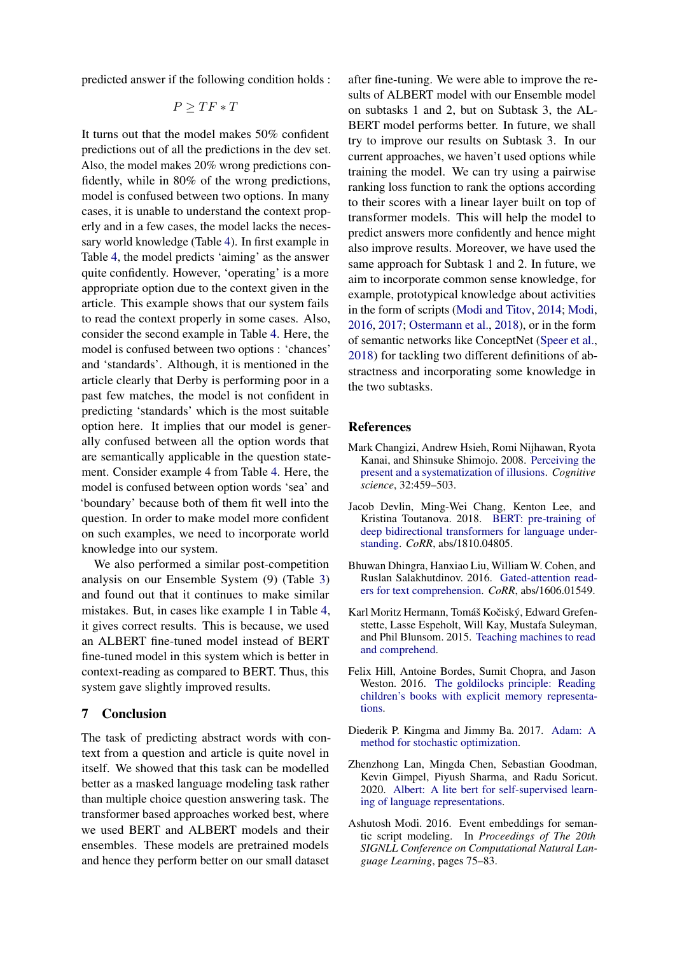predicted answer if the following condition holds :

$$
P \geq TF * T
$$

It turns out that the model makes 50% confident predictions out of all the predictions in the dev set. Also, the model makes 20% wrong predictions confidently, while in 80% of the wrong predictions, model is confused between two options. In many cases, it is unable to understand the context properly and in a few cases, the model lacks the necessary world knowledge (Table [4\)](#page-5-0). In first example in Table [4,](#page-5-0) the model predicts 'aiming' as the answer quite confidently. However, 'operating' is a more appropriate option due to the context given in the article. This example shows that our system fails to read the context properly in some cases. Also, consider the second example in Table [4.](#page-5-0) Here, the model is confused between two options : 'chances' and 'standards'. Although, it is mentioned in the article clearly that Derby is performing poor in a past few matches, the model is not confident in predicting 'standards' which is the most suitable option here. It implies that our model is generally confused between all the option words that are semantically applicable in the question statement. Consider example 4 from Table [4.](#page-5-0) Here, the model is confused between option words 'sea' and 'boundary' because both of them fit well into the question. In order to make model more confident on such examples, we need to incorporate world knowledge into our system.

We also performed a similar post-competition analysis on our Ensemble System (9) (Table [3\)](#page-4-1) and found out that it continues to make similar mistakes. But, in cases like example 1 in Table [4,](#page-5-0) it gives correct results. This is because, we used an ALBERT fine-tuned model instead of BERT fine-tuned model in this system which is better in context-reading as compared to BERT. Thus, this system gave slightly improved results.

## <span id="page-6-4"></span>7 Conclusion

The task of predicting abstract words with context from a question and article is quite novel in itself. We showed that this task can be modelled better as a masked language modeling task rather than multiple choice question answering task. The transformer based approaches worked best, where we used BERT and ALBERT models and their ensembles. These models are pretrained models and hence they perform better on our small dataset

after fine-tuning. We were able to improve the results of ALBERT model with our Ensemble model on subtasks 1 and 2, but on Subtask 3, the AL-BERT model performs better. In future, we shall try to improve our results on Subtask 3. In our current approaches, we haven't used options while training the model. We can try using a pairwise ranking loss function to rank the options according to their scores with a linear layer built on top of transformer models. This will help the model to predict answers more confidently and hence might also improve results. Moreover, we have used the same approach for Subtask 1 and 2. In future, we aim to incorporate common sense knowledge, for example, prototypical knowledge about activities in the form of scripts [\(Modi and Titov,](#page-7-10) [2014;](#page-7-10) [Modi,](#page-6-8) [2016,](#page-6-8) [2017;](#page-7-11) [Ostermann et al.,](#page-7-12) [2018\)](#page-7-12), or in the form of semantic networks like ConceptNet [\(Speer et al.,](#page-7-13) [2018\)](#page-7-13) for tackling two different definitions of abstractness and incorporating some knowledge in the two subtasks.

## **References**

- <span id="page-6-0"></span>Mark Changizi, Andrew Hsieh, Romi Nijhawan, Ryota Kanai, and Shinsuke Shimojo. 2008. [Perceiving the](https://doi.org/10.1080/03640210802035191) [present and a systematization of illusions.](https://doi.org/10.1080/03640210802035191) *Cognitive science*, 32:459–503.
- <span id="page-6-5"></span>Jacob Devlin, Ming-Wei Chang, Kenton Lee, and Kristina Toutanova. 2018. [BERT: pre-training of](http://arxiv.org/abs/1810.04805) [deep bidirectional transformers for language under](http://arxiv.org/abs/1810.04805)[standing.](http://arxiv.org/abs/1810.04805) *CoRR*, abs/1810.04805.
- <span id="page-6-3"></span>Bhuwan Dhingra, Hanxiao Liu, William W. Cohen, and Ruslan Salakhutdinov. 2016. [Gated-attention read](http://arxiv.org/abs/1606.01549)[ers for text comprehension.](http://arxiv.org/abs/1606.01549) *CoRR*, abs/1606.01549.
- <span id="page-6-1"></span>Karl Moritz Hermann, Tomáš Kočiský, Edward Grefenstette, Lasse Espeholt, Will Kay, Mustafa Suleyman, and Phil Blunsom. 2015. [Teaching machines to read](http://arxiv.org/abs/1506.03340) [and comprehend.](http://arxiv.org/abs/1506.03340)
- <span id="page-6-2"></span>Felix Hill, Antoine Bordes, Sumit Chopra, and Jason Weston. 2016. [The goldilocks principle: Reading](http://arxiv.org/abs/1511.02301) [children's books with explicit memory representa](http://arxiv.org/abs/1511.02301)[tions.](http://arxiv.org/abs/1511.02301)
- <span id="page-6-7"></span>Diederik P. Kingma and Jimmy Ba. 2017. [Adam: A](http://arxiv.org/abs/1412.6980) [method for stochastic optimization.](http://arxiv.org/abs/1412.6980)
- <span id="page-6-6"></span>Zhenzhong Lan, Mingda Chen, Sebastian Goodman, Kevin Gimpel, Piyush Sharma, and Radu Soricut. 2020. [Albert: A lite bert for self-supervised learn](http://arxiv.org/abs/1909.11942)[ing of language representations.](http://arxiv.org/abs/1909.11942)
- <span id="page-6-8"></span>Ashutosh Modi. 2016. Event embeddings for semantic script modeling. In *Proceedings of The 20th SIGNLL Conference on Computational Natural Language Learning*, pages 75–83.